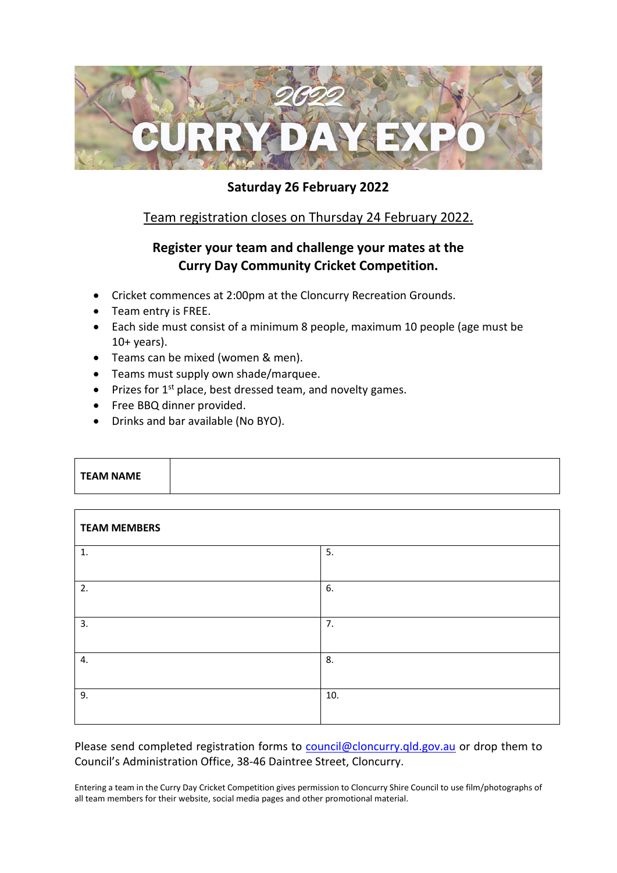

# **Saturday 26 February 2022**

# Team registration closes on Thursday 24 February 2022.

# **Register your team and challenge your mates at the Curry Day Community Cricket Competition.**

- Cricket commences at 2:00pm at the Cloncurry Recreation Grounds.
- Team entry is FREE.
- Each side must consist of a minimum 8 people, maximum 10 people (age must be  $10+$  years).
- Teams can be mixed (women & men).
- Teams must supply own shade/marquee.
- Prizes for  $1^{st}$  place, best dressed team, and novelty games.
- Free BBQ dinner provided.
- Drinks and bar available (No BYO).

| <b>TEAM NAME</b> |  |  |
|------------------|--|--|
|                  |  |  |
|                  |  |  |

| <b>TEAM MEMBERS</b> |     |  |
|---------------------|-----|--|
| 1.                  | 5.  |  |
| 2.                  | 6.  |  |
| 3.                  | 7.  |  |
| 4.                  | 8.  |  |
| 9.                  | 10. |  |

Please send completed registration forms to [council@cloncurry.qld.gov.au](mailto:council@cloncurry.qld.gov.au) or drop them to Council's Administration Office, 38-46 Daintree Street, Cloncurry.

Entering a team in the Curry Day Cricket Competition gives permission to Cloncurry Shire Council to use film/photographs of all team members for their website, social media pages and other promotional material.